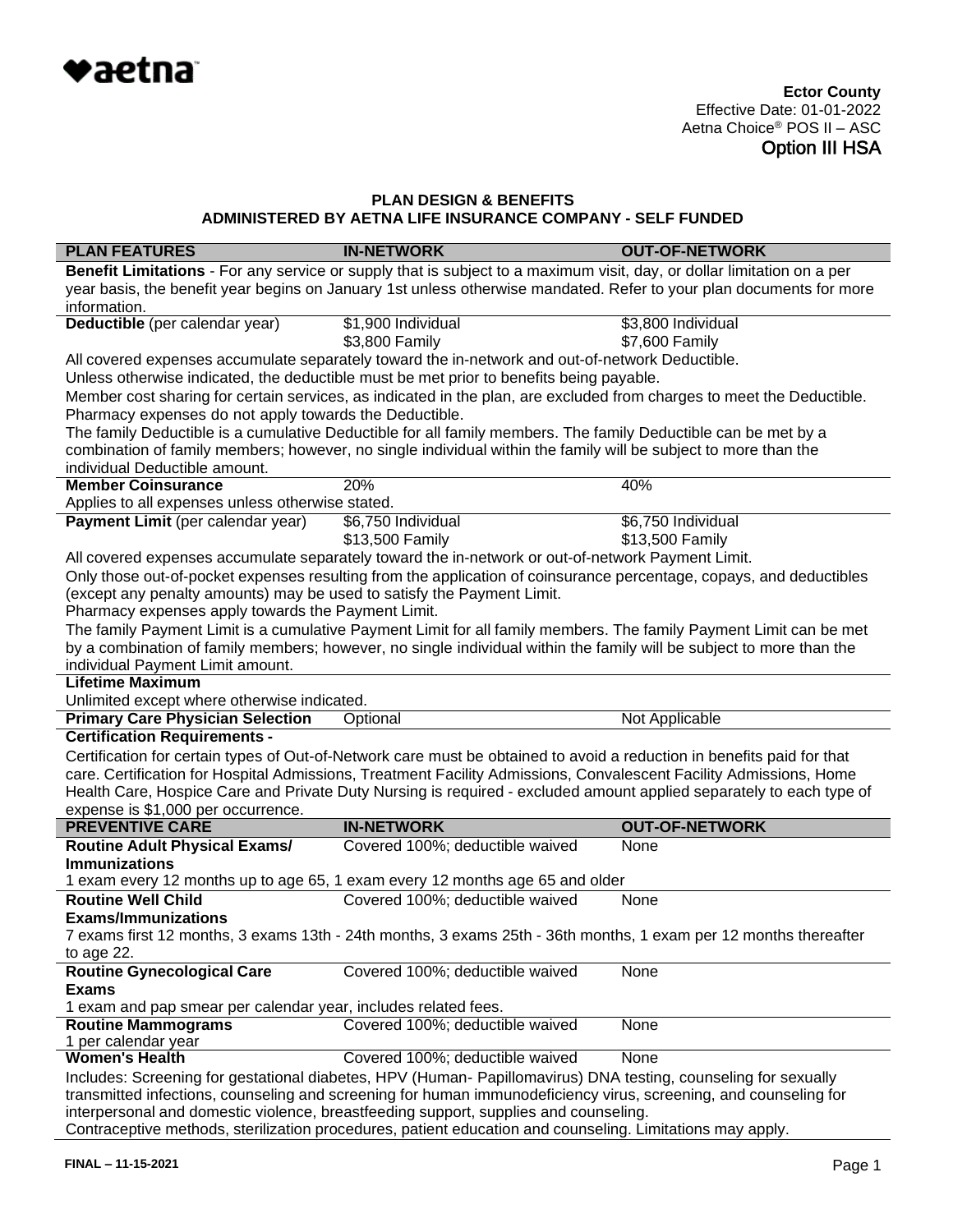

| <b>PLAN FEATURES</b>                                                                                                                                                     | <b>IN-NETWORK</b>                                                                                                      | <b>OUT-OF-NETWORK</b> |  |  |
|--------------------------------------------------------------------------------------------------------------------------------------------------------------------------|------------------------------------------------------------------------------------------------------------------------|-----------------------|--|--|
|                                                                                                                                                                          | Benefit Limitations - For any service or supply that is subject to a maximum visit, day, or dollar limitation on a per |                       |  |  |
| year basis, the benefit year begins on January 1st unless otherwise mandated. Refer to your plan documents for more                                                      |                                                                                                                        |                       |  |  |
| information.                                                                                                                                                             |                                                                                                                        |                       |  |  |
| Deductible (per calendar year)                                                                                                                                           | \$1,900 Individual                                                                                                     | \$3,800 Individual    |  |  |
|                                                                                                                                                                          | \$3,800 Family                                                                                                         | \$7,600 Family        |  |  |
|                                                                                                                                                                          | All covered expenses accumulate separately toward the in-network and out-of-network Deductible.                        |                       |  |  |
|                                                                                                                                                                          | Unless otherwise indicated, the deductible must be met prior to benefits being payable.                                |                       |  |  |
|                                                                                                                                                                          | Member cost sharing for certain services, as indicated in the plan, are excluded from charges to meet the Deductible.  |                       |  |  |
| Pharmacy expenses do not apply towards the Deductible.<br>The family Deductible is a cumulative Deductible for all family members. The family Deductible can be met by a |                                                                                                                        |                       |  |  |
|                                                                                                                                                                          | combination of family members; however, no single individual within the family will be subject to more than the        |                       |  |  |
| individual Deductible amount.                                                                                                                                            |                                                                                                                        |                       |  |  |
| <b>Member Coinsurance</b>                                                                                                                                                | 20%                                                                                                                    | 40%                   |  |  |
| Applies to all expenses unless otherwise stated.                                                                                                                         |                                                                                                                        |                       |  |  |
| Payment Limit (per calendar year)                                                                                                                                        | \$6,750 Individual                                                                                                     | \$6,750 Individual    |  |  |
|                                                                                                                                                                          | \$13,500 Family                                                                                                        | \$13,500 Family       |  |  |
|                                                                                                                                                                          | All covered expenses accumulate separately toward the in-network or out-of-network Payment Limit.                      |                       |  |  |
|                                                                                                                                                                          | Only those out-of-pocket expenses resulting from the application of coinsurance percentage, copays, and deductibles    |                       |  |  |
|                                                                                                                                                                          |                                                                                                                        |                       |  |  |
| (except any penalty amounts) may be used to satisfy the Payment Limit.<br>Pharmacy expenses apply towards the Payment Limit.                                             |                                                                                                                        |                       |  |  |
| The family Payment Limit is a cumulative Payment Limit for all family members. The family Payment Limit can be met                                                       |                                                                                                                        |                       |  |  |
|                                                                                                                                                                          | by a combination of family members; however, no single individual within the family will be subject to more than the   |                       |  |  |
| individual Payment Limit amount.                                                                                                                                         |                                                                                                                        |                       |  |  |
| <b>Lifetime Maximum</b>                                                                                                                                                  |                                                                                                                        |                       |  |  |
| Unlimited except where otherwise indicated.                                                                                                                              |                                                                                                                        |                       |  |  |
| <b>Primary Care Physician Selection</b>                                                                                                                                  | Optional                                                                                                               | Not Applicable        |  |  |
| <b>Certification Requirements -</b>                                                                                                                                      |                                                                                                                        |                       |  |  |
|                                                                                                                                                                          | Certification for certain types of Out-of-Network care must be obtained to avoid a reduction in benefits paid for that |                       |  |  |
|                                                                                                                                                                          | care. Certification for Hospital Admissions, Treatment Facility Admissions, Convalescent Facility Admissions, Home     |                       |  |  |
|                                                                                                                                                                          | Health Care, Hospice Care and Private Duty Nursing is required - excluded amount applied separately to each type of    |                       |  |  |
| expense is \$1,000 per occurrence.                                                                                                                                       |                                                                                                                        |                       |  |  |
| <b>PREVENTIVE CARE</b>                                                                                                                                                   | <b>IN-NETWORK</b>                                                                                                      | <b>OUT-OF-NETWORK</b> |  |  |
| <b>Routine Adult Physical Exams/</b>                                                                                                                                     | Covered 100%; deductible waived                                                                                        | None                  |  |  |
| <b>Immunizations</b>                                                                                                                                                     |                                                                                                                        |                       |  |  |
|                                                                                                                                                                          | 1 exam every 12 months up to age 65, 1 exam every 12 months age 65 and older                                           |                       |  |  |
| <b>Routine Well Child</b>                                                                                                                                                | Covered 100%; deductible waived                                                                                        | None                  |  |  |
| <b>Exams/Immunizations</b>                                                                                                                                               |                                                                                                                        |                       |  |  |
| 7 exams first 12 months, 3 exams 13th - 24th months, 3 exams 25th - 36th months, 1 exam per 12 months thereafter                                                         |                                                                                                                        |                       |  |  |
| to age 22.<br><b>Routine Gynecological Care</b>                                                                                                                          | Covered 100%; deductible waived                                                                                        | None                  |  |  |
| <b>Exams</b>                                                                                                                                                             |                                                                                                                        |                       |  |  |
| 1 exam and pap smear per calendar year, includes related fees.                                                                                                           |                                                                                                                        |                       |  |  |
| <b>Routine Mammograms</b>                                                                                                                                                | Covered 100%; deductible waived                                                                                        | None                  |  |  |
| 1 per calendar year                                                                                                                                                      |                                                                                                                        |                       |  |  |
| <b>Women's Health</b>                                                                                                                                                    | Covered 100%; deductible waived                                                                                        | None                  |  |  |
|                                                                                                                                                                          | Includes: Screening for gestational diabetes, HPV (Human- Papillomavirus) DNA testing, counseling for sexually         |                       |  |  |
| transmitted infections, counseling and screening for human immunodeficiency virus, screening, and counseling for                                                         |                                                                                                                        |                       |  |  |
|                                                                                                                                                                          | interpersonal and domestic violence, breastfeeding support, supplies and counseling.                                   |                       |  |  |
| Contracentive methods, starilization procedures, patient education and counseling. Limitations may apply                                                                 |                                                                                                                        |                       |  |  |

Contraceptive methods, sterilization procedures, patient education and counseling. Limitations may apply.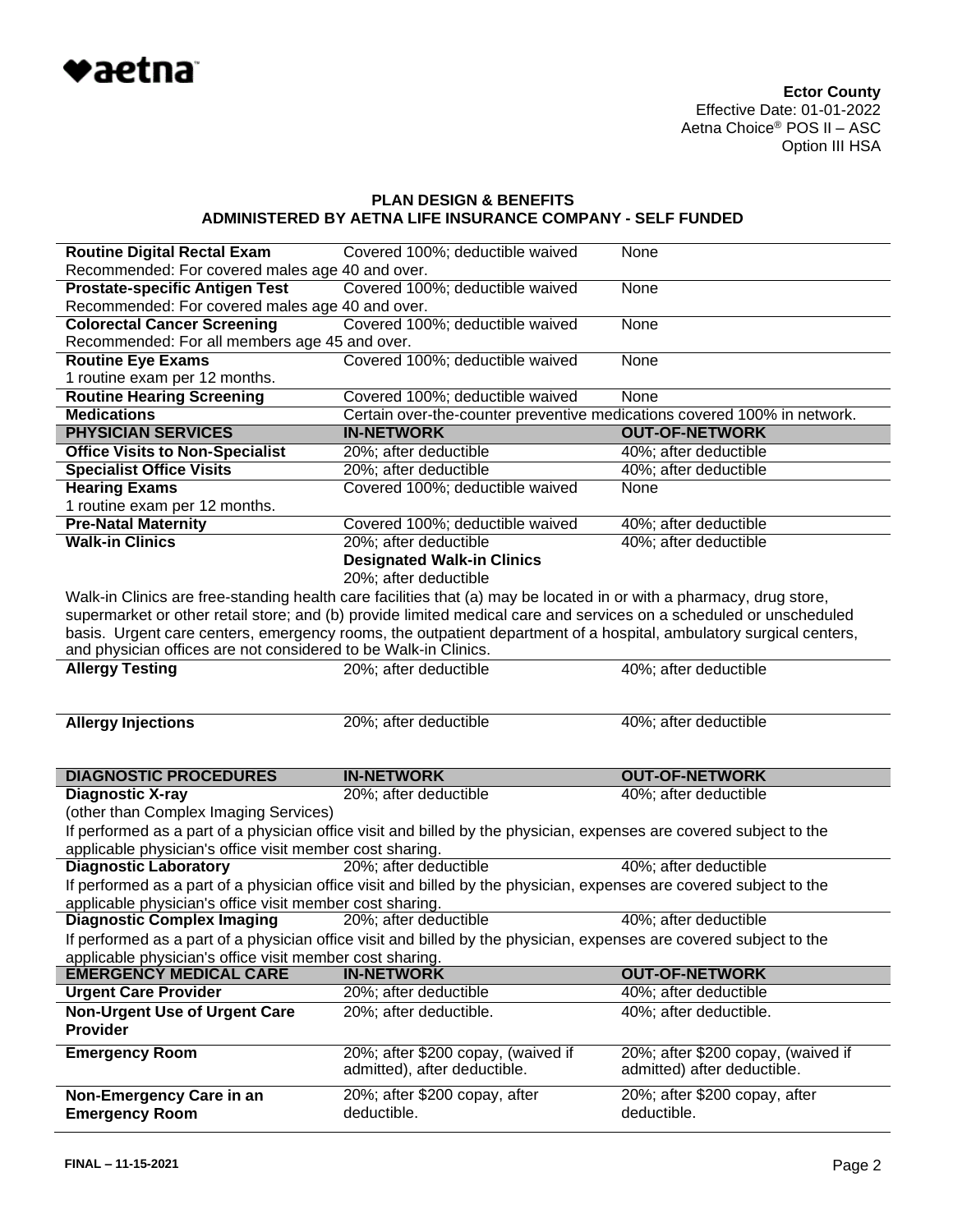

| <b>Routine Digital Rectal Exam</b>                                                        | Covered 100%; deductible waived                                                                                     | None                               |
|-------------------------------------------------------------------------------------------|---------------------------------------------------------------------------------------------------------------------|------------------------------------|
| Recommended: For covered males age 40 and over.                                           |                                                                                                                     |                                    |
| <b>Prostate-specific Antigen Test</b>                                                     | Covered 100%; deductible waived                                                                                     | <b>None</b>                        |
| Recommended: For covered males age 40 and over.                                           |                                                                                                                     |                                    |
| <b>Colorectal Cancer Screening</b>                                                        | Covered 100%; deductible waived                                                                                     | None                               |
| Recommended: For all members age 45 and over.                                             |                                                                                                                     |                                    |
| <b>Routine Eye Exams</b>                                                                  | Covered 100%; deductible waived                                                                                     | <b>None</b>                        |
| 1 routine exam per 12 months.                                                             |                                                                                                                     |                                    |
| <b>Routine Hearing Screening</b>                                                          | Covered 100%; deductible waived                                                                                     | None                               |
| <b>Medications</b>                                                                        | Certain over-the-counter preventive medications covered 100% in network.                                            |                                    |
| <b>PHYSICIAN SERVICES</b>                                                                 | <b>IN-NETWORK</b>                                                                                                   | <b>OUT-OF-NETWORK</b>              |
| <b>Office Visits to Non-Specialist</b>                                                    | 20%; after deductible                                                                                               | 40%; after deductible              |
| <b>Specialist Office Visits</b>                                                           | 20%; after deductible                                                                                               | 40%; after deductible              |
| <b>Hearing Exams</b>                                                                      | Covered 100%; deductible waived                                                                                     | <b>None</b>                        |
| 1 routine exam per 12 months.                                                             |                                                                                                                     |                                    |
| <b>Pre-Natal Maternity</b>                                                                | Covered 100%; deductible waived                                                                                     | 40%; after deductible              |
| <b>Walk-in Clinics</b>                                                                    | 20%; after deductible                                                                                               | 40%; after deductible              |
|                                                                                           | <b>Designated Walk-in Clinics</b>                                                                                   |                                    |
|                                                                                           | 20%; after deductible                                                                                               |                                    |
|                                                                                           | Walk-in Clinics are free-standing health care facilities that (a) may be located in or with a pharmacy, drug store, |                                    |
|                                                                                           | supermarket or other retail store; and (b) provide limited medical care and services on a scheduled or unscheduled  |                                    |
|                                                                                           | basis. Urgent care centers, emergency rooms, the outpatient department of a hospital, ambulatory surgical centers,  |                                    |
| and physician offices are not considered to be Walk-in Clinics.                           |                                                                                                                     |                                    |
| <b>Allergy Testing</b>                                                                    | 20%; after deductible                                                                                               | 40%; after deductible              |
|                                                                                           |                                                                                                                     |                                    |
|                                                                                           |                                                                                                                     |                                    |
|                                                                                           |                                                                                                                     |                                    |
| <b>Allergy Injections</b>                                                                 | 20%; after deductible                                                                                               | 40%; after deductible              |
|                                                                                           |                                                                                                                     |                                    |
|                                                                                           |                                                                                                                     |                                    |
| <b>DIAGNOSTIC PROCEDURES</b>                                                              | <b>IN-NETWORK</b>                                                                                                   | <b>OUT-OF-NETWORK</b>              |
| <b>Diagnostic X-ray</b>                                                                   | 20%; after deductible                                                                                               | 40%; after deductible              |
| (other than Complex Imaging Services)                                                     |                                                                                                                     |                                    |
|                                                                                           | If performed as a part of a physician office visit and billed by the physician, expenses are covered subject to the |                                    |
| applicable physician's office visit member cost sharing.                                  |                                                                                                                     |                                    |
| <b>Diagnostic Laboratory</b>                                                              | 20%; after deductible                                                                                               | 40%; after deductible              |
|                                                                                           | If performed as a part of a physician office visit and billed by the physician, expenses are covered subject to the |                                    |
| applicable physician's office visit member cost sharing.                                  |                                                                                                                     |                                    |
| <b>Diagnostic Complex Imaging</b>                                                         | 20%; after deductible                                                                                               | 40%; after deductible              |
|                                                                                           |                                                                                                                     |                                    |
|                                                                                           | If performed as a part of a physician office visit and billed by the physician, expenses are covered subject to the |                                    |
| applicable physician's office visit member cost sharing.<br><b>EMERGENCY MEDICAL CARE</b> | <b>IN-NETWORK</b>                                                                                                   | <b>OUT-OF-NETWORK</b>              |
| <b>Urgent Care Provider</b>                                                               | 20%; after deductible                                                                                               | 40%; after deductible              |
|                                                                                           |                                                                                                                     | 40%; after deductible.             |
| <b>Non-Urgent Use of Urgent Care</b><br><b>Provider</b>                                   | 20%; after deductible.                                                                                              |                                    |
|                                                                                           |                                                                                                                     |                                    |
| <b>Emergency Room</b>                                                                     | 20%; after \$200 copay, (waived if                                                                                  | 20%; after \$200 copay, (waived if |
|                                                                                           | admitted), after deductible.                                                                                        | admitted) after deductible.        |
| Non-Emergency Care in an                                                                  | 20%; after \$200 copay, after                                                                                       | 20%; after \$200 copay, after      |
| <b>Emergency Room</b>                                                                     | deductible.                                                                                                         | deductible.                        |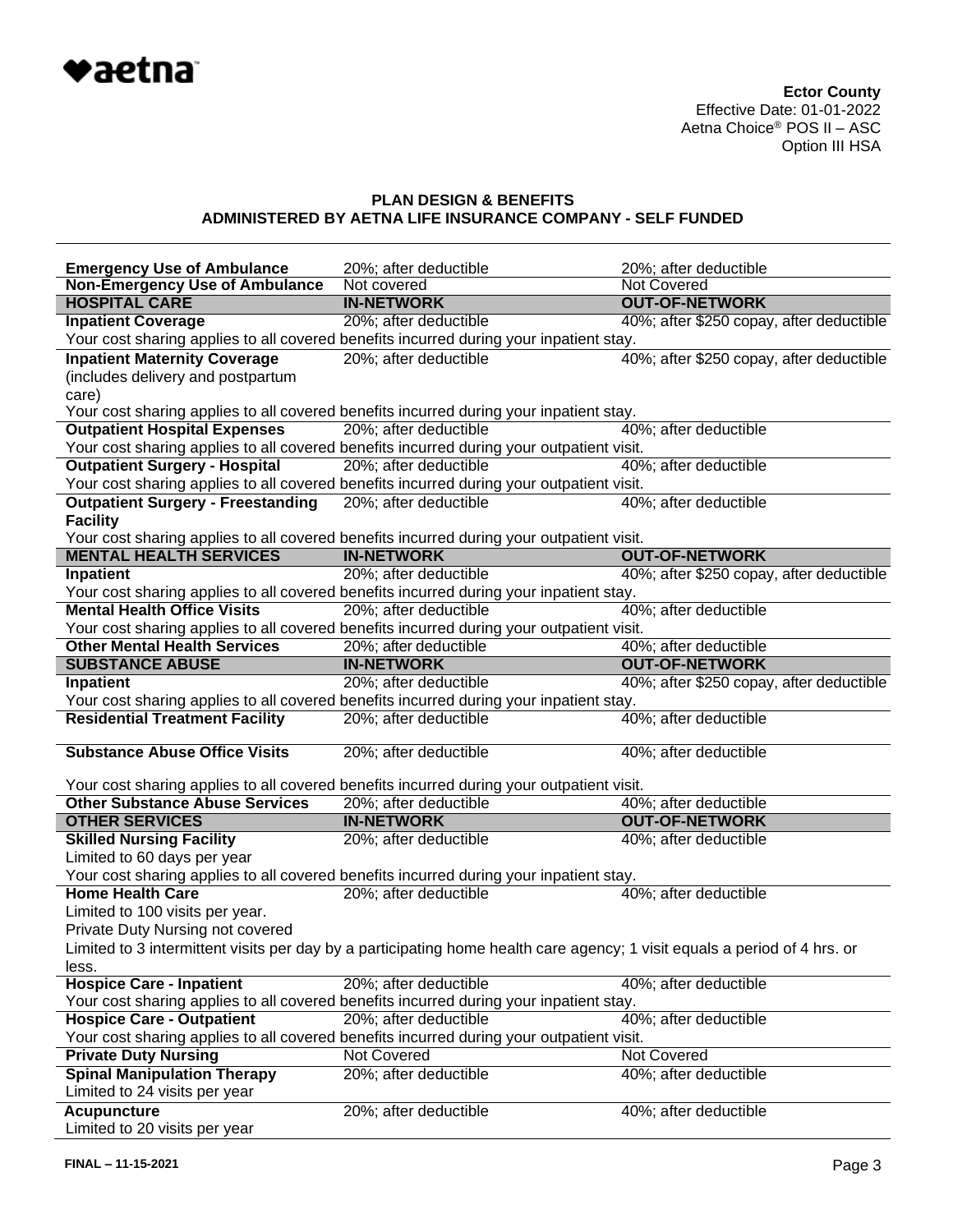

| <b>Emergency Use of Ambulance</b>                                                                                         | 20%; after deductible                                                                                           | 20%; after deductible                    |
|---------------------------------------------------------------------------------------------------------------------------|-----------------------------------------------------------------------------------------------------------------|------------------------------------------|
| <b>Non-Emergency Use of Ambulance</b>                                                                                     | Not covered                                                                                                     | Not Covered                              |
| <b>HOSPITAL CARE</b>                                                                                                      | <b>IN-NETWORK</b>                                                                                               | <b>OUT-OF-NETWORK</b>                    |
| <b>Inpatient Coverage</b>                                                                                                 | 20%; after deductible                                                                                           | 40%; after \$250 copay, after deductible |
|                                                                                                                           | Your cost sharing applies to all covered benefits incurred during your inpatient stay.                          |                                          |
| <b>Inpatient Maternity Coverage</b>                                                                                       | 20%; after deductible                                                                                           | 40%; after \$250 copay, after deductible |
| (includes delivery and postpartum                                                                                         |                                                                                                                 |                                          |
| care)                                                                                                                     |                                                                                                                 |                                          |
|                                                                                                                           | Your cost sharing applies to all covered benefits incurred during your inpatient stay.                          |                                          |
| <b>Outpatient Hospital Expenses</b>                                                                                       | 20%; after deductible                                                                                           | 40%; after deductible                    |
|                                                                                                                           | Your cost sharing applies to all covered benefits incurred during your outpatient visit.                        |                                          |
| <b>Outpatient Surgery - Hospital</b>                                                                                      | 20%; after deductible                                                                                           | 40%; after deductible                    |
|                                                                                                                           | Your cost sharing applies to all covered benefits incurred during your outpatient visit.                        |                                          |
| <b>Outpatient Surgery - Freestanding</b>                                                                                  | 20%; after deductible                                                                                           | 40%; after deductible                    |
| <b>Facility</b>                                                                                                           |                                                                                                                 |                                          |
|                                                                                                                           | Your cost sharing applies to all covered benefits incurred during your outpatient visit.                        |                                          |
| <b>MENTAL HEALTH SERVICES</b>                                                                                             | <b>IN-NETWORK</b>                                                                                               | <b>OUT-OF-NETWORK</b>                    |
| <b>Inpatient</b>                                                                                                          | 20%; after deductible                                                                                           | 40%; after \$250 copay, after deductible |
|                                                                                                                           | Your cost sharing applies to all covered benefits incurred during your inpatient stay.                          |                                          |
| <b>Mental Health Office Visits</b>                                                                                        | 20%; after deductible                                                                                           | 40%; after deductible                    |
|                                                                                                                           | Your cost sharing applies to all covered benefits incurred during your outpatient visit.                        |                                          |
| <b>Other Mental Health Services</b>                                                                                       | 20%; after deductible                                                                                           | 40%; after deductible                    |
| <b>SUBSTANCE ABUSE</b>                                                                                                    | <b>IN-NETWORK</b>                                                                                               | <b>OUT-OF-NETWORK</b>                    |
| Inpatient                                                                                                                 | 20%; after deductible<br>Your cost sharing applies to all covered benefits incurred during your inpatient stay. | 40%; after \$250 copay, after deductible |
| <b>Residential Treatment Facility</b>                                                                                     | 20%; after deductible                                                                                           | 40%; after deductible                    |
|                                                                                                                           |                                                                                                                 |                                          |
| <b>Substance Abuse Office Visits</b>                                                                                      | 20%; after deductible                                                                                           | 40%; after deductible                    |
|                                                                                                                           |                                                                                                                 |                                          |
|                                                                                                                           | Your cost sharing applies to all covered benefits incurred during your outpatient visit.                        |                                          |
| <b>Other Substance Abuse Services</b>                                                                                     | 20%; after deductible                                                                                           | 40%; after deductible                    |
| <b>OTHER SERVICES</b>                                                                                                     | <b>IN-NETWORK</b>                                                                                               | <b>OUT-OF-NETWORK</b>                    |
| <b>Skilled Nursing Facility</b>                                                                                           | 20%; after deductible                                                                                           | 40%; after deductible                    |
| Limited to 60 days per year                                                                                               |                                                                                                                 |                                          |
|                                                                                                                           | Your cost sharing applies to all covered benefits incurred during your inpatient stay.                          |                                          |
| <b>Home Health Care</b>                                                                                                   | 20%; after deductible                                                                                           | 40%; after deductible                    |
| Limited to 100 visits per year.                                                                                           |                                                                                                                 |                                          |
| Private Duty Nursing not covered                                                                                          |                                                                                                                 |                                          |
| Limited to 3 intermittent visits per day by a participating home health care agency; 1 visit equals a period of 4 hrs. or |                                                                                                                 |                                          |
| less.                                                                                                                     |                                                                                                                 |                                          |
| <b>Hospice Care - Inpatient</b>                                                                                           | 20%; after deductible                                                                                           | 40%; after deductible                    |
|                                                                                                                           | Your cost sharing applies to all covered benefits incurred during your inpatient stay.                          |                                          |
| <b>Hospice Care - Outpatient</b>                                                                                          | 20%; after deductible                                                                                           | 40%; after deductible                    |
|                                                                                                                           | Your cost sharing applies to all covered benefits incurred during your outpatient visit.                        |                                          |
| <b>Private Duty Nursing</b>                                                                                               | <b>Not Covered</b>                                                                                              | <b>Not Covered</b>                       |
| <b>Spinal Manipulation Therapy</b>                                                                                        | 20%; after deductible                                                                                           | 40%; after deductible                    |
| Limited to 24 visits per year                                                                                             |                                                                                                                 |                                          |
| <b>Acupuncture</b>                                                                                                        | 20%; after deductible                                                                                           | 40%; after deductible                    |
| Limited to 20 visits per year                                                                                             |                                                                                                                 |                                          |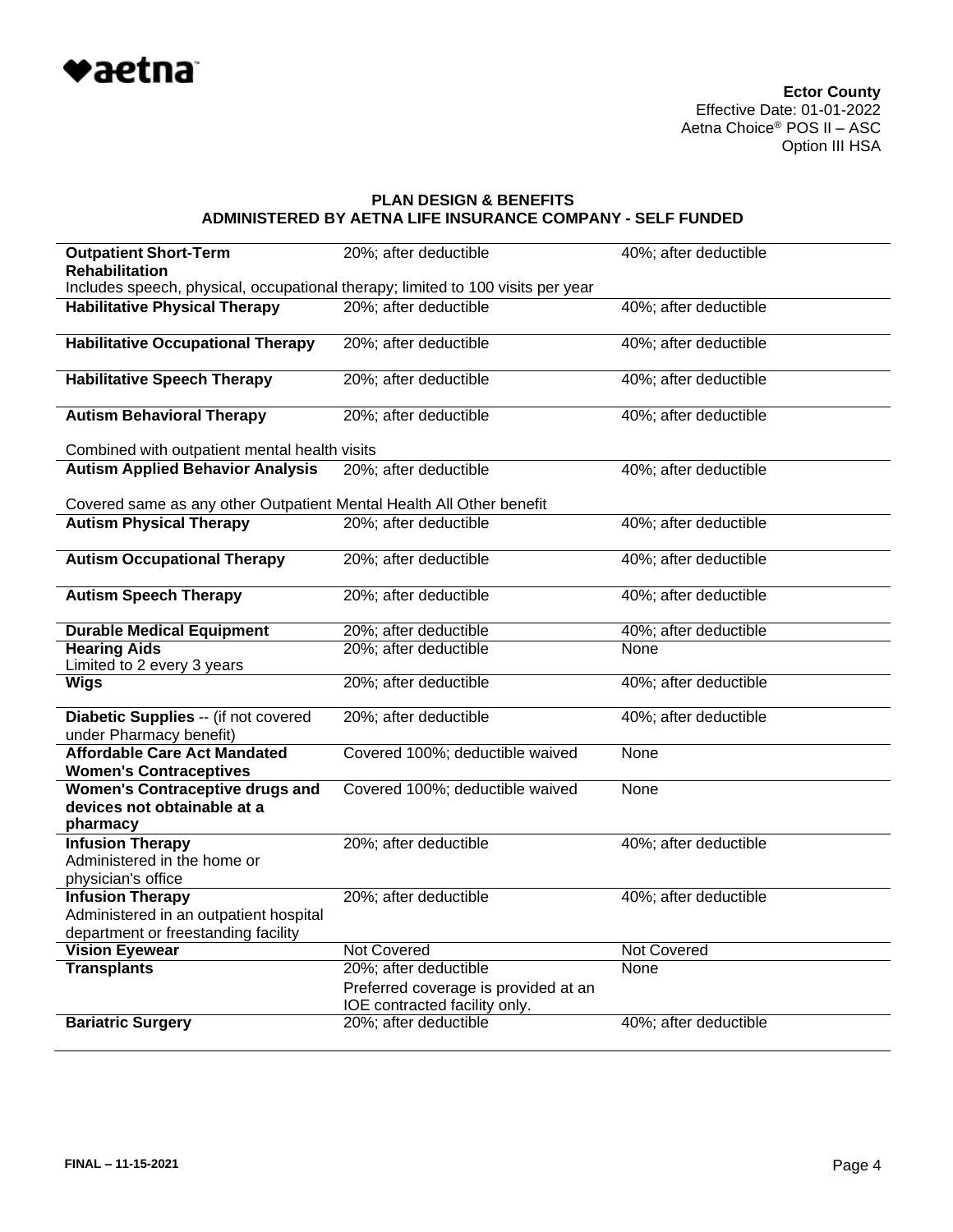

| <b>Outpatient Short-Term</b><br><b>Rehabilitation</b>                                                    | 20%; after deductible                                                 | 40%; after deductible |  |  |  |
|----------------------------------------------------------------------------------------------------------|-----------------------------------------------------------------------|-----------------------|--|--|--|
| Includes speech, physical, occupational therapy; limited to 100 visits per year                          |                                                                       |                       |  |  |  |
| <b>Habilitative Physical Therapy</b>                                                                     | 20%; after deductible                                                 | 40%; after deductible |  |  |  |
| <b>Habilitative Occupational Therapy</b>                                                                 | 20%; after deductible                                                 | 40%; after deductible |  |  |  |
| <b>Habilitative Speech Therapy</b>                                                                       | 20%; after deductible                                                 | 40%; after deductible |  |  |  |
| <b>Autism Behavioral Therapy</b>                                                                         | 20%; after deductible                                                 | 40%; after deductible |  |  |  |
| Combined with outpatient mental health visits                                                            |                                                                       |                       |  |  |  |
| <b>Autism Applied Behavior Analysis</b>                                                                  | 20%; after deductible                                                 | 40%; after deductible |  |  |  |
| Covered same as any other Outpatient Mental Health All Other benefit                                     |                                                                       |                       |  |  |  |
| <b>Autism Physical Therapy</b>                                                                           | 20%; after deductible                                                 | 40%; after deductible |  |  |  |
| <b>Autism Occupational Therapy</b>                                                                       | 20%; after deductible                                                 | 40%; after deductible |  |  |  |
| <b>Autism Speech Therapy</b>                                                                             | 20%; after deductible                                                 | 40%; after deductible |  |  |  |
| <b>Durable Medical Equipment</b>                                                                         | 20%; after deductible                                                 | 40%; after deductible |  |  |  |
| <b>Hearing Aids</b>                                                                                      | 20%; after deductible                                                 | None                  |  |  |  |
| Limited to 2 every 3 years                                                                               |                                                                       |                       |  |  |  |
| <b>Wigs</b>                                                                                              | 20%; after deductible                                                 | 40%; after deductible |  |  |  |
| Diabetic Supplies -- (if not covered<br>under Pharmacy benefit)                                          | 20%; after deductible                                                 | 40%; after deductible |  |  |  |
| <b>Affordable Care Act Mandated</b><br><b>Women's Contraceptives</b>                                     | Covered 100%; deductible waived                                       | None                  |  |  |  |
| <b>Women's Contraceptive drugs and</b><br>devices not obtainable at a<br>pharmacy                        | Covered 100%; deductible waived                                       | None                  |  |  |  |
| <b>Infusion Therapy</b><br>Administered in the home or<br>physician's office                             | 20%; after deductible                                                 | 40%; after deductible |  |  |  |
| <b>Infusion Therapy</b><br>Administered in an outpatient hospital<br>department or freestanding facility | 20%; after deductible                                                 | 40%; after deductible |  |  |  |
| <b>Vision Eyewear</b>                                                                                    | <b>Not Covered</b>                                                    | <b>Not Covered</b>    |  |  |  |
| <b>Transplants</b>                                                                                       | 20%; after deductible                                                 | <b>None</b>           |  |  |  |
|                                                                                                          | Preferred coverage is provided at an<br>IOE contracted facility only. |                       |  |  |  |
| <b>Bariatric Surgery</b>                                                                                 | 20%; after deductible                                                 | 40%; after deductible |  |  |  |
|                                                                                                          |                                                                       |                       |  |  |  |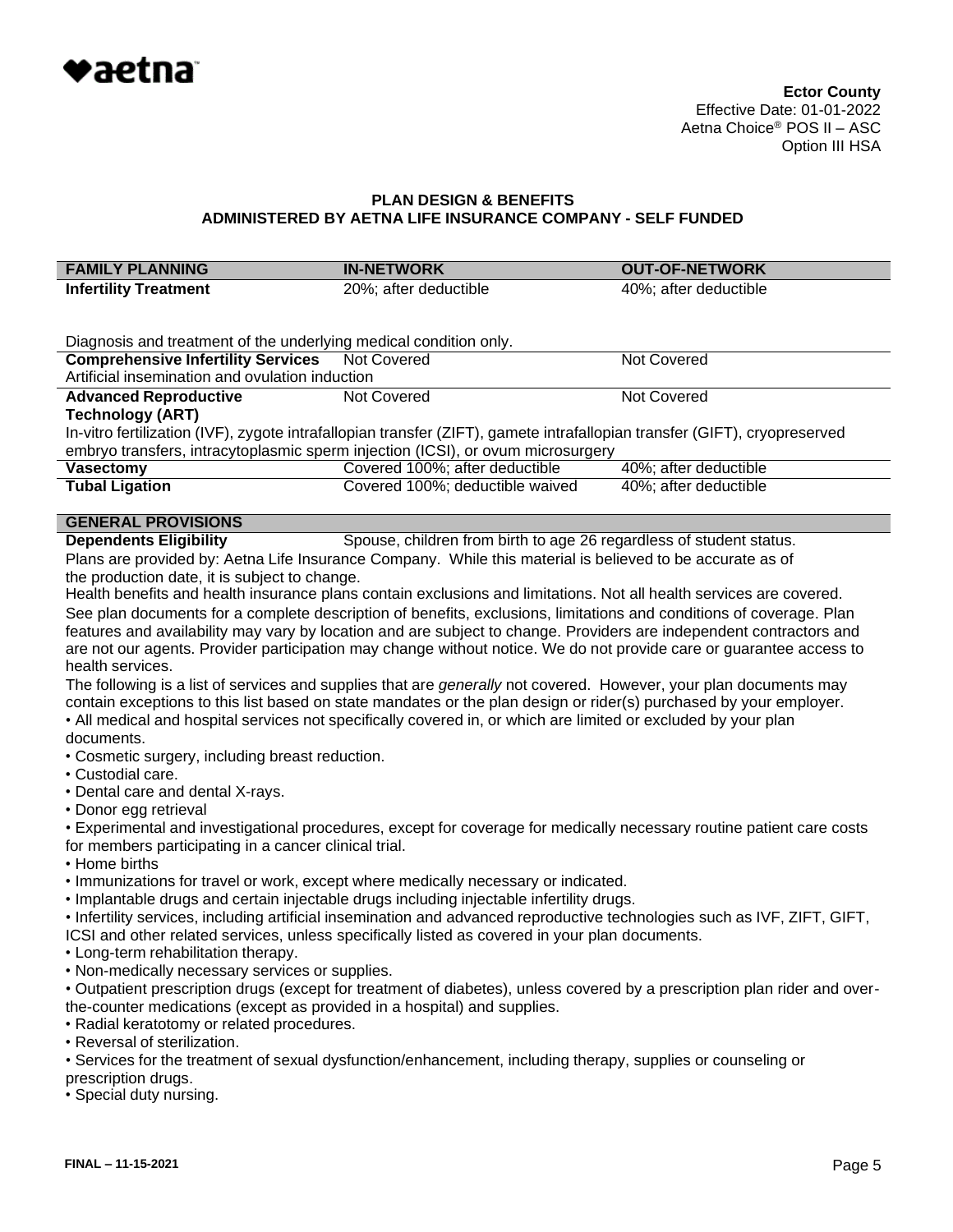

| <b>FAMILY PLANNING</b>                                                                                                                                                                                                                         | <b>IN-NETWORK</b>                                                                                                         | <b>OUT-OF-NETWORK</b> |  |  |
|------------------------------------------------------------------------------------------------------------------------------------------------------------------------------------------------------------------------------------------------|---------------------------------------------------------------------------------------------------------------------------|-----------------------|--|--|
| <b>Infertility Treatment</b>                                                                                                                                                                                                                   | 20%; after deductible                                                                                                     | 40%; after deductible |  |  |
|                                                                                                                                                                                                                                                |                                                                                                                           |                       |  |  |
| Diagnosis and treatment of the underlying medical condition only.                                                                                                                                                                              |                                                                                                                           |                       |  |  |
| <b>Comprehensive Infertility Services</b>                                                                                                                                                                                                      | <b>Not Covered</b>                                                                                                        | <b>Not Covered</b>    |  |  |
| Artificial insemination and ovulation induction                                                                                                                                                                                                |                                                                                                                           |                       |  |  |
| <b>Advanced Reproductive</b>                                                                                                                                                                                                                   | Not Covered                                                                                                               | Not Covered           |  |  |
| <b>Technology (ART)</b>                                                                                                                                                                                                                        |                                                                                                                           |                       |  |  |
|                                                                                                                                                                                                                                                | In-vitro fertilization (IVF), zygote intrafallopian transfer (ZIFT), gamete intrafallopian transfer (GIFT), cryopreserved |                       |  |  |
|                                                                                                                                                                                                                                                | embryo transfers, intracytoplasmic sperm injection (ICSI), or ovum microsurgery                                           |                       |  |  |
| <b>Vasectomy</b>                                                                                                                                                                                                                               | Covered 100%; after deductible                                                                                            | 40%; after deductible |  |  |
| <b>Tubal Ligation</b>                                                                                                                                                                                                                          | Covered 100%; deductible waived                                                                                           | 40%; after deductible |  |  |
| <b>GENERAL PROVISIONS</b>                                                                                                                                                                                                                      |                                                                                                                           |                       |  |  |
| <b>Dependents Eligibility</b>                                                                                                                                                                                                                  | Spouse, children from birth to age 26 regardless of student status.                                                       |                       |  |  |
|                                                                                                                                                                                                                                                | Plans are provided by: Aetna Life Insurance Company. While this material is believed to be accurate as of                 |                       |  |  |
| the production date, it is subject to change.                                                                                                                                                                                                  |                                                                                                                           |                       |  |  |
|                                                                                                                                                                                                                                                | Health benefits and health insurance plans contain exclusions and limitations. Not all health services are covered.       |                       |  |  |
|                                                                                                                                                                                                                                                | See plan documents for a complete description of benefits, exclusions, limitations and conditions of coverage. Plan       |                       |  |  |
|                                                                                                                                                                                                                                                | features and availability may vary by location and are subject to change. Providers are independent contractors and       |                       |  |  |
|                                                                                                                                                                                                                                                | are not our agents. Provider participation may change without notice. We do not provide care or guarantee access to       |                       |  |  |
| health services.                                                                                                                                                                                                                               |                                                                                                                           |                       |  |  |
| The following is a list of services and supplies that are <i>generally</i> not covered. However, your plan documents may<br>contain exceptions to this list based on state mandates or the plan design or rider(s) purchased by your employer. |                                                                                                                           |                       |  |  |
|                                                                                                                                                                                                                                                | • All medical and hospital services not specifically covered in, or which are limited or excluded by your plan            |                       |  |  |
| documents.                                                                                                                                                                                                                                     |                                                                                                                           |                       |  |  |
| • Cosmetic surgery, including breast reduction.                                                                                                                                                                                                |                                                                                                                           |                       |  |  |
| • Custodial care.                                                                                                                                                                                                                              |                                                                                                                           |                       |  |  |
| • Dental care and dental X-rays.                                                                                                                                                                                                               |                                                                                                                           |                       |  |  |
| • Donor egg retrieval                                                                                                                                                                                                                          |                                                                                                                           |                       |  |  |
|                                                                                                                                                                                                                                                | • Experimental and investigational procedures, except for coverage for medically necessary routine patient care costs     |                       |  |  |
| for members participating in a cancer clinical trial.                                                                                                                                                                                          |                                                                                                                           |                       |  |  |
| • Home births                                                                                                                                                                                                                                  |                                                                                                                           |                       |  |  |
|                                                                                                                                                                                                                                                | . Immunizations for travel or work, except where medically necessary or indicated.                                        |                       |  |  |
|                                                                                                                                                                                                                                                | . Implantable drugs and certain injectable drugs including injectable infertility drugs.                                  |                       |  |  |
|                                                                                                                                                                                                                                                | • Infertility services, including artificial insemination and advanced reproductive technologies such as IVF, ZIFT, GIFT, |                       |  |  |
| ICSI and other related services, unless specifically listed as covered in your plan documents.                                                                                                                                                 |                                                                                                                           |                       |  |  |
| • Long-term rehabilitation therapy.<br>. Non-medically necessary services or supplies.                                                                                                                                                         |                                                                                                                           |                       |  |  |
|                                                                                                                                                                                                                                                | • Outpatient prescription drugs (except for treatment of diabetes), unless covered by a prescription plan rider and over- |                       |  |  |
| the-counter medications (except as provided in a hospital) and supplies.                                                                                                                                                                       |                                                                                                                           |                       |  |  |
| • Radial keratotomy or related procedures.                                                                                                                                                                                                     |                                                                                                                           |                       |  |  |
| • Reversal of sterilization.                                                                                                                                                                                                                   |                                                                                                                           |                       |  |  |
|                                                                                                                                                                                                                                                | • Services for the treatment of sexual dysfunction/enhancement, including therapy, supplies or counseling or              |                       |  |  |
| prescription drugs.                                                                                                                                                                                                                            |                                                                                                                           |                       |  |  |
| • Special duty nursing.                                                                                                                                                                                                                        |                                                                                                                           |                       |  |  |
|                                                                                                                                                                                                                                                |                                                                                                                           |                       |  |  |